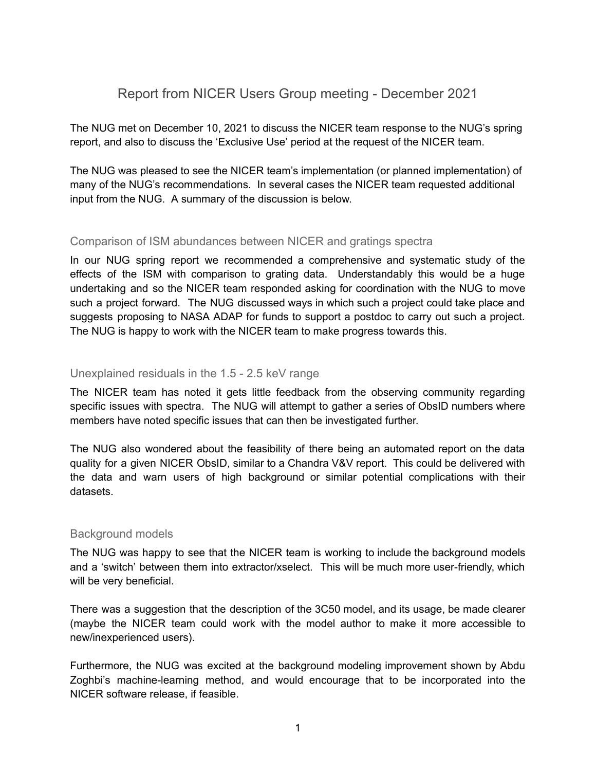# Report from NICER Users Group meeting - December 2021

The NUG met on December 10, 2021 to discuss the NICER team response to the NUG's spring report, and also to discuss the 'Exclusive Use' period at the request of the NICER team.

The NUG was pleased to see the NICER team's implementation (or planned implementation) of many of the NUG's recommendations. In several cases the NICER team requested additional input from the NUG. A summary of the discussion is below.

# Comparison of ISM abundances between NICER and gratings spectra

In our NUG spring report we recommended a comprehensive and systematic study of the effects of the ISM with comparison to grating data. Understandably this would be a huge undertaking and so the NICER team responded asking for coordination with the NUG to move such a project forward. The NUG discussed ways in which such a project could take place and suggests proposing to NASA ADAP for funds to support a postdoc to carry out such a project. The NUG is happy to work with the NICER team to make progress towards this.

### Unexplained residuals in the 1.5 - 2.5 keV range

The NICER team has noted it gets little feedback from the observing community regarding specific issues with spectra. The NUG will attempt to gather a series of ObsID numbers where members have noted specific issues that can then be investigated further.

The NUG also wondered about the feasibility of there being an automated report on the data quality for a given NICER ObsID, similar to a Chandra V&V report. This could be delivered with the data and warn users of high background or similar potential complications with their datasets.

# Background models

The NUG was happy to see that the NICER team is working to include the background models and a 'switch' between them into extractor/xselect. This will be much more user-friendly, which will be very beneficial.

There was a suggestion that the description of the 3C50 model, and its usage, be made clearer (maybe the NICER team could work with the model author to make it more accessible to new/inexperienced users).

Furthermore, the NUG was excited at the background modeling improvement shown by Abdu Zoghbi's machine-learning method, and would encourage that to be incorporated into the NICER software release, if feasible.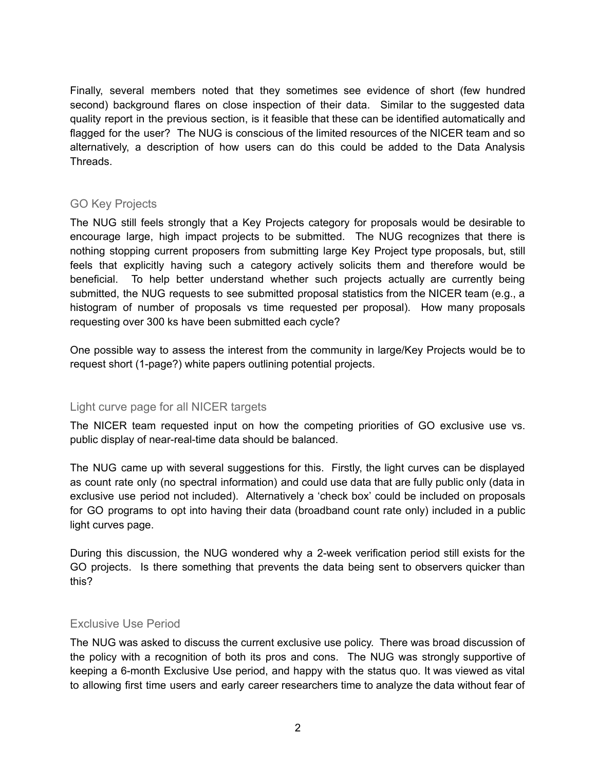Finally, several members noted that they sometimes see evidence of short (few hundred second) background flares on close inspection of their data. Similar to the suggested data quality report in the previous section, is it feasible that these can be identified automatically and flagged for the user? The NUG is conscious of the limited resources of the NICER team and so alternatively, a description of how users can do this could be added to the Data Analysis Threads.

# GO Key Projects

The NUG still feels strongly that a Key Projects category for proposals would be desirable to encourage large, high impact projects to be submitted. The NUG recognizes that there is nothing stopping current proposers from submitting large Key Project type proposals, but, still feels that explicitly having such a category actively solicits them and therefore would be beneficial. To help better understand whether such projects actually are currently being submitted, the NUG requests to see submitted proposal statistics from the NICER team (e.g., a histogram of number of proposals vs time requested per proposal). How many proposals requesting over 300 ks have been submitted each cycle?

One possible way to assess the interest from the community in large/Key Projects would be to request short (1-page?) white papers outlining potential projects.

#### Light curve page for all NICER targets

The NICER team requested input on how the competing priorities of GO exclusive use vs. public display of near-real-time data should be balanced.

The NUG came up with several suggestions for this. Firstly, the light curves can be displayed as count rate only (no spectral information) and could use data that are fully public only (data in exclusive use period not included). Alternatively a 'check box' could be included on proposals for GO programs to opt into having their data (broadband count rate only) included in a public light curves page.

During this discussion, the NUG wondered why a 2-week verification period still exists for the GO projects. Is there something that prevents the data being sent to observers quicker than this?

#### Exclusive Use Period

The NUG was asked to discuss the current exclusive use policy. There was broad discussion of the policy with a recognition of both its pros and cons. The NUG was strongly supportive of keeping a 6-month Exclusive Use period, and happy with the status quo. It was viewed as vital to allowing first time users and early career researchers time to analyze the data without fear of